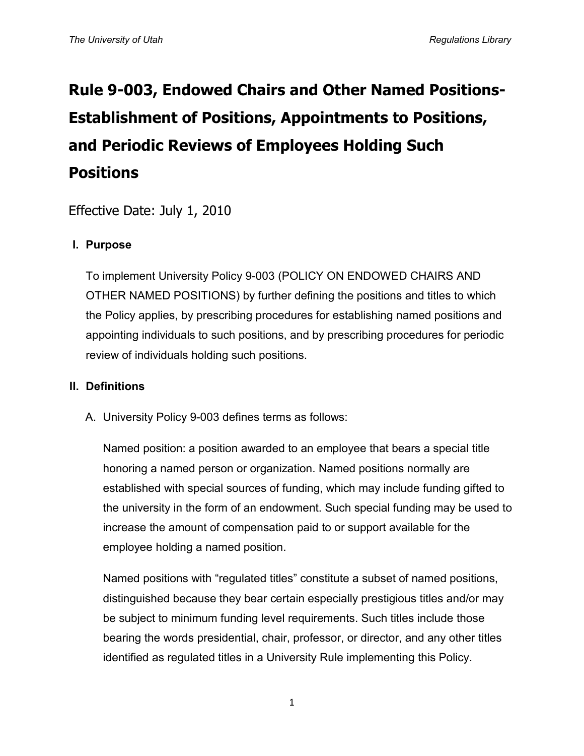# **Rule 9-003, Endowed Chairs and Other Named Positions-Establishment of Positions, Appointments to Positions, and Periodic Reviews of Employees Holding Such Positions**

Effective Date: July 1, 2010

# **I. Purpose**

To implement University Policy 9-003 (POLICY ON ENDOWED CHAIRS AND OTHER NAMED POSITIONS) by further defining the positions and titles to which the Policy applies, by prescribing procedures for establishing named positions and appointing individuals to such positions, and by prescribing procedures for periodic review of individuals holding such positions.

# **II. Definitions**

A. University Policy 9-003 defines terms as follows:

Named position: a position awarded to an employee that bears a special title honoring a named person or organization. Named positions normally are established with special sources of funding, which may include funding gifted to the university in the form of an endowment. Such special funding may be used to increase the amount of compensation paid to or support available for the employee holding a named position.

Named positions with "regulated titles" constitute a subset of named positions, distinguished because they bear certain especially prestigious titles and/or may be subject to minimum funding level requirements. Such titles include those bearing the words presidential, chair, professor, or director, and any other titles identified as regulated titles in a University Rule implementing this Policy.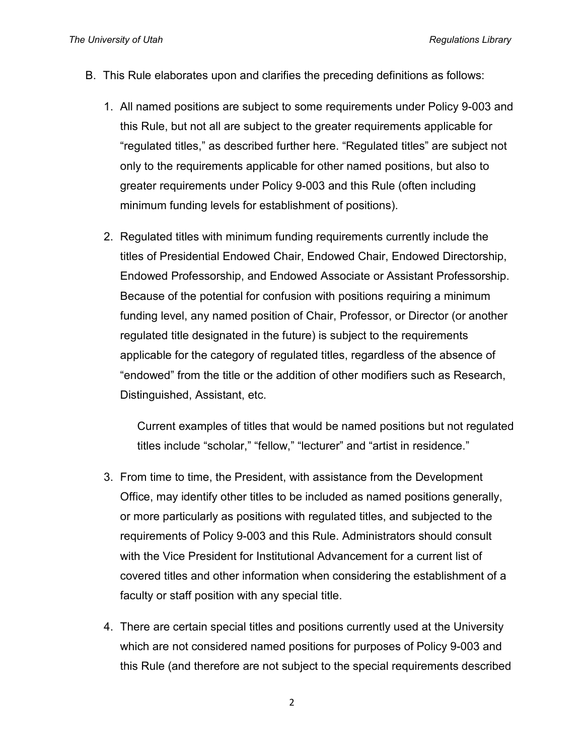- B. This Rule elaborates upon and clarifies the preceding definitions as follows:
	- 1. All named positions are subject to some requirements under Policy 9-003 and this Rule, but not all are subject to the greater requirements applicable for "regulated titles," as described further here. "Regulated titles" are subject not only to the requirements applicable for other named positions, but also to greater requirements under Policy 9-003 and this Rule (often including minimum funding levels for establishment of positions).
	- 2. Regulated titles with minimum funding requirements currently include the titles of Presidential Endowed Chair, Endowed Chair, Endowed Directorship, Endowed Professorship, and Endowed Associate or Assistant Professorship. Because of the potential for confusion with positions requiring a minimum funding level, any named position of Chair, Professor, or Director (or another regulated title designated in the future) is subject to the requirements applicable for the category of regulated titles, regardless of the absence of "endowed" from the title or the addition of other modifiers such as Research, Distinguished, Assistant, etc.

Current examples of titles that would be named positions but not regulated titles include "scholar," "fellow," "lecturer" and "artist in residence."

- 3. From time to time, the President, with assistance from the Development Office, may identify other titles to be included as named positions generally, or more particularly as positions with regulated titles, and subjected to the requirements of Policy 9-003 and this Rule. Administrators should consult with the Vice President for Institutional Advancement for a current list of covered titles and other information when considering the establishment of a faculty or staff position with any special title.
- 4. There are certain special titles and positions currently used at the University which are not considered named positions for purposes of Policy 9-003 and this Rule (and therefore are not subject to the special requirements described

2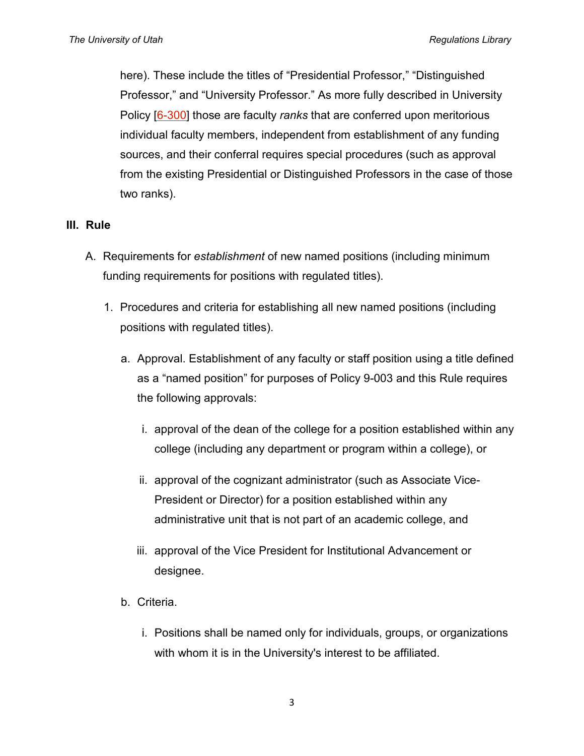here). These include the titles of "Presidential Professor," "Distinguished Professor," and "University Professor." As more fully described in University Policy [\[6-300\]](http://regulations.utah.edu/academics/6-300.php) those are faculty *ranks* that are conferred upon meritorious individual faculty members, independent from establishment of any funding sources, and their conferral requires special procedures (such as approval from the existing Presidential or Distinguished Professors in the case of those two ranks).

#### **III. Rule**

- A. Requirements for *establishment* of new named positions (including minimum funding requirements for positions with regulated titles).
	- 1. Procedures and criteria for establishing all new named positions (including positions with regulated titles).
		- a. Approval. Establishment of any faculty or staff position using a title defined as a "named position" for purposes of Policy 9-003 and this Rule requires the following approvals:
			- i. approval of the dean of the college for a position established within any college (including any department or program within a college), or
			- ii. approval of the cognizant administrator (such as Associate Vice-President or Director) for a position established within any administrative unit that is not part of an academic college, and
			- iii. approval of the Vice President for Institutional Advancement or designee.
		- b. Criteria.
			- i. Positions shall be named only for individuals, groups, or organizations with whom it is in the University's interest to be affiliated.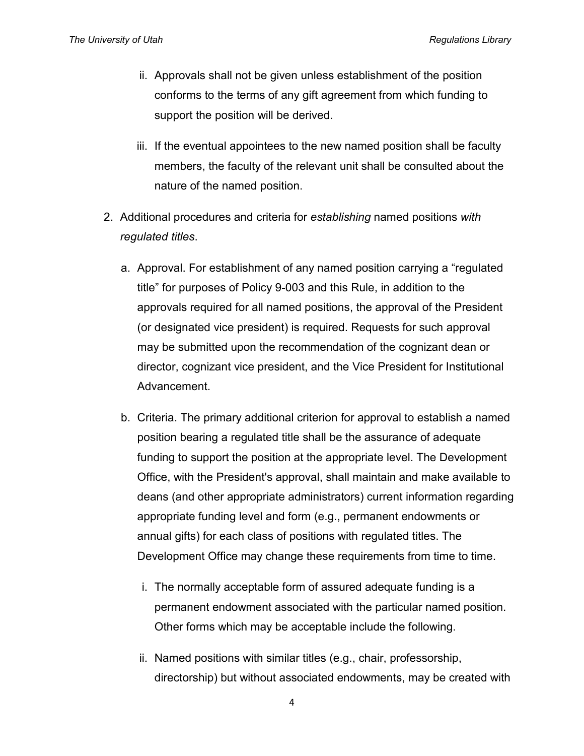- ii. Approvals shall not be given unless establishment of the position conforms to the terms of any gift agreement from which funding to support the position will be derived.
- iii. If the eventual appointees to the new named position shall be faculty members, the faculty of the relevant unit shall be consulted about the nature of the named position.
- 2. Additional procedures and criteria for *establishing* named positions *with regulated titles*.
	- a. Approval. For establishment of any named position carrying a "regulated title" for purposes of Policy 9-003 and this Rule, in addition to the approvals required for all named positions, the approval of the President (or designated vice president) is required. Requests for such approval may be submitted upon the recommendation of the cognizant dean or director, cognizant vice president, and the Vice President for Institutional Advancement.
	- b. Criteria. The primary additional criterion for approval to establish a named position bearing a regulated title shall be the assurance of adequate funding to support the position at the appropriate level. The Development Office, with the President's approval, shall maintain and make available to deans (and other appropriate administrators) current information regarding appropriate funding level and form (e.g., permanent endowments or annual gifts) for each class of positions with regulated titles. The Development Office may change these requirements from time to time.
		- i. The normally acceptable form of assured adequate funding is a permanent endowment associated with the particular named position. Other forms which may be acceptable include the following.
		- ii. Named positions with similar titles (e.g., chair, professorship, directorship) but without associated endowments, may be created with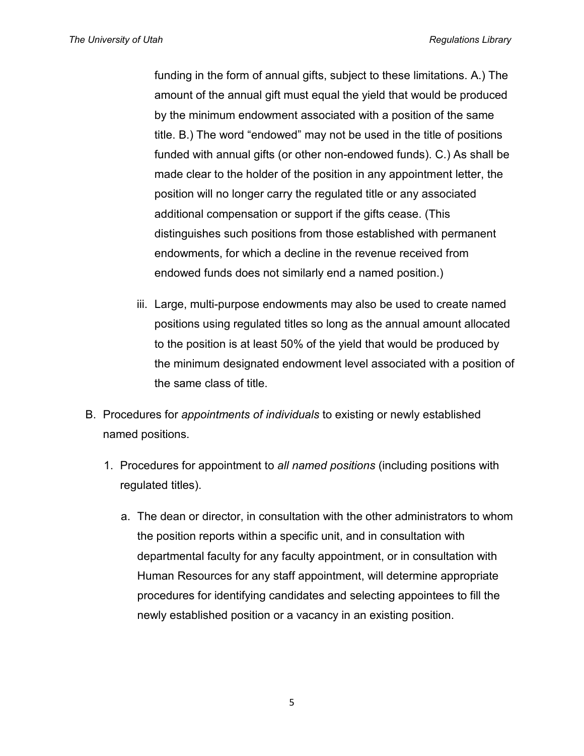*The University of Utah Regulations Library*

funding in the form of annual gifts, subject to these limitations. A.) The amount of the annual gift must equal the yield that would be produced by the minimum endowment associated with a position of the same title. B.) The word "endowed" may not be used in the title of positions funded with annual gifts (or other non-endowed funds). C.) As shall be made clear to the holder of the position in any appointment letter, the position will no longer carry the regulated title or any associated additional compensation or support if the gifts cease. (This distinguishes such positions from those established with permanent endowments, for which a decline in the revenue received from endowed funds does not similarly end a named position.)

- iii. Large, multi-purpose endowments may also be used to create named positions using regulated titles so long as the annual amount allocated to the position is at least 50% of the yield that would be produced by the minimum designated endowment level associated with a position of the same class of title.
- B. Procedures for *appointments of individuals* to existing or newly established named positions.
	- 1. Procedures for appointment to *all named positions* (including positions with regulated titles).
		- a. The dean or director, in consultation with the other administrators to whom the position reports within a specific unit, and in consultation with departmental faculty for any faculty appointment, or in consultation with Human Resources for any staff appointment, will determine appropriate procedures for identifying candidates and selecting appointees to fill the newly established position or a vacancy in an existing position.

5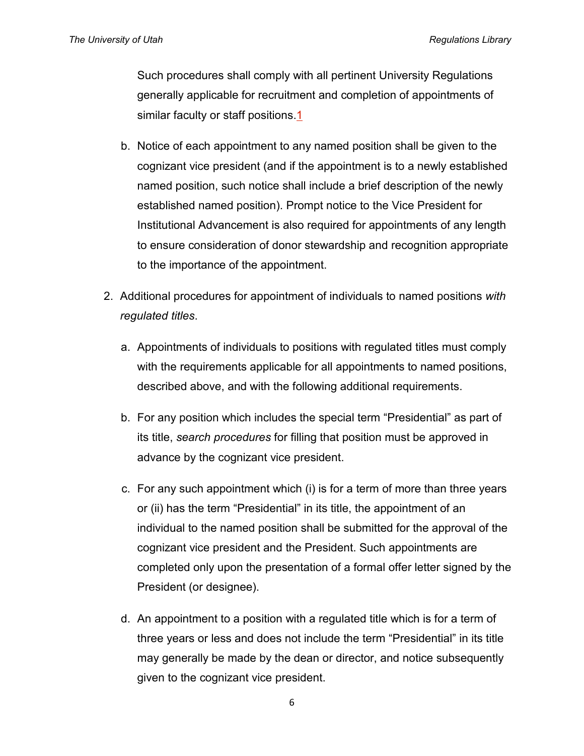Such procedures shall comply with all pertinent University Regulations generally applicable for recruitment and completion of appointments of similar faculty or staff positions[.1](http://regulations.utah.edu/community/rules/Rule_9-003.php#_ftn1)

- b. Notice of each appointment to any named position shall be given to the cognizant vice president (and if the appointment is to a newly established named position, such notice shall include a brief description of the newly established named position). Prompt notice to the Vice President for Institutional Advancement is also required for appointments of any length to ensure consideration of donor stewardship and recognition appropriate to the importance of the appointment.
- 2. Additional procedures for appointment of individuals to named positions *with regulated titles*.
	- a. Appointments of individuals to positions with regulated titles must comply with the requirements applicable for all appointments to named positions, described above, and with the following additional requirements.
	- b. For any position which includes the special term "Presidential" as part of its title, *search procedures* for filling that position must be approved in advance by the cognizant vice president.
	- c. For any such appointment which (i) is for a term of more than three years or (ii) has the term "Presidential" in its title, the appointment of an individual to the named position shall be submitted for the approval of the cognizant vice president and the President. Such appointments are completed only upon the presentation of a formal offer letter signed by the President (or designee).
	- d. An appointment to a position with a regulated title which is for a term of three years or less and does not include the term "Presidential" in its title may generally be made by the dean or director, and notice subsequently given to the cognizant vice president.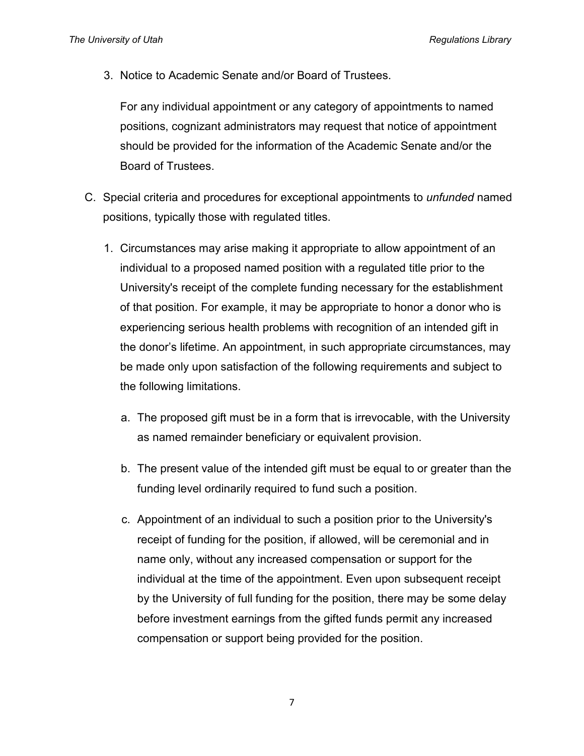3. Notice to Academic Senate and/or Board of Trustees.

For any individual appointment or any category of appointments to named positions, cognizant administrators may request that notice of appointment should be provided for the information of the Academic Senate and/or the Board of Trustees.

- C. Special criteria and procedures for exceptional appointments to *unfunded* named positions, typically those with regulated titles.
	- 1. Circumstances may arise making it appropriate to allow appointment of an individual to a proposed named position with a regulated title prior to the University's receipt of the complete funding necessary for the establishment of that position. For example, it may be appropriate to honor a donor who is experiencing serious health problems with recognition of an intended gift in the donor's lifetime. An appointment, in such appropriate circumstances, may be made only upon satisfaction of the following requirements and subject to the following limitations.
		- a. The proposed gift must be in a form that is irrevocable, with the University as named remainder beneficiary or equivalent provision.
		- b. The present value of the intended gift must be equal to or greater than the funding level ordinarily required to fund such a position.
		- c. Appointment of an individual to such a position prior to the University's receipt of funding for the position, if allowed, will be ceremonial and in name only, without any increased compensation or support for the individual at the time of the appointment. Even upon subsequent receipt by the University of full funding for the position, there may be some delay before investment earnings from the gifted funds permit any increased compensation or support being provided for the position.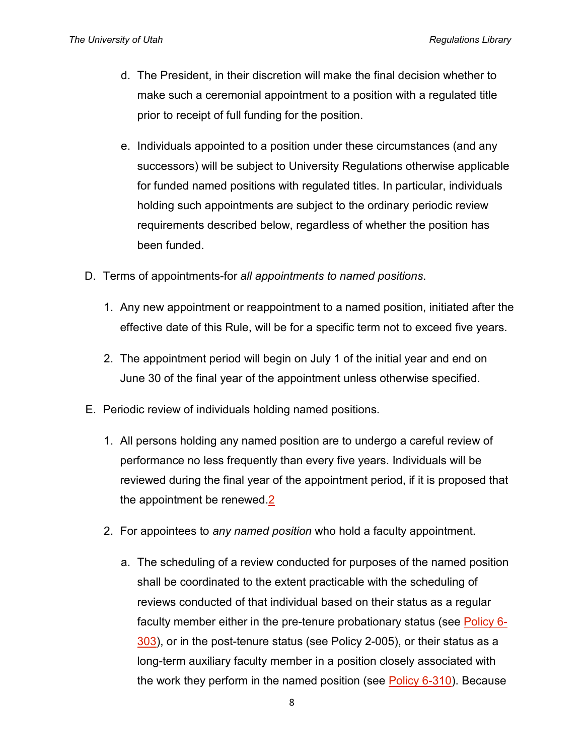- d. The President, in their discretion will make the final decision whether to make such a ceremonial appointment to a position with a regulated title prior to receipt of full funding for the position.
- e. Individuals appointed to a position under these circumstances (and any successors) will be subject to University Regulations otherwise applicable for funded named positions with regulated titles. In particular, individuals holding such appointments are subject to the ordinary periodic review requirements described below, regardless of whether the position has been funded.
- D. Terms of appointments-for *all appointments to named positions*.
	- 1. Any new appointment or reappointment to a named position, initiated after the effective date of this Rule, will be for a specific term not to exceed five years.
	- 2. The appointment period will begin on July 1 of the initial year and end on June 30 of the final year of the appointment unless otherwise specified.
- E. Periodic review of individuals holding named positions.
	- 1. All persons holding any named position are to undergo a careful review of performance no less frequently than every five years. Individuals will be reviewed during the final year of the appointment period, if it is proposed that the appointment be renewed[.2](http://regulations.utah.edu/community/rules/Rule_9-003.php#_ftn2)
	- 2. For appointees to *any named position* who hold a faculty appointment.
		- a. The scheduling of a review conducted for purposes of the named position shall be coordinated to the extent practicable with the scheduling of reviews conducted of that individual based on their status as a regular faculty member either in the pre-tenure probationary status (see [Policy 6-](http://regulations.utah.edu/academics/6-303.php) [303\)](http://regulations.utah.edu/academics/6-303.php), or in the post-tenure status (see Policy 2-005), or their status as a long-term auxiliary faculty member in a position closely associated with the work they perform in the named position (see [Policy 6-310\)](http://regulations.utah.edu/academics/6-310.php). Because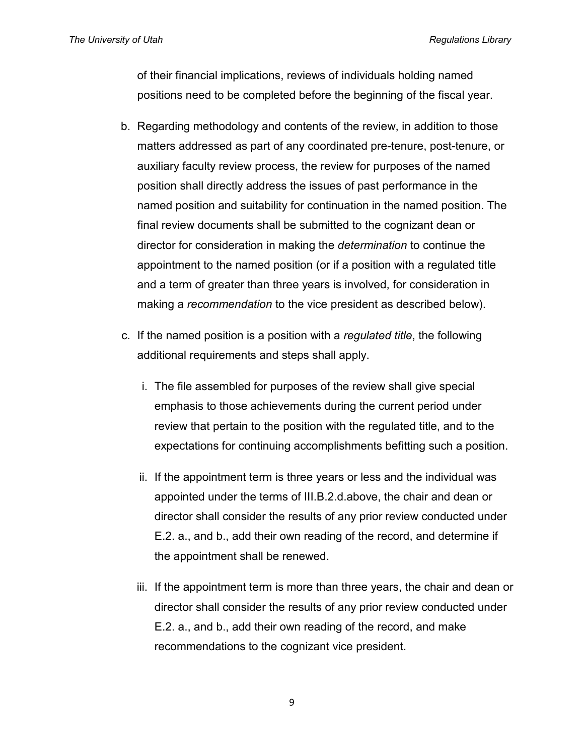of their financial implications, reviews of individuals holding named positions need to be completed before the beginning of the fiscal year.

- b. Regarding methodology and contents of the review, in addition to those matters addressed as part of any coordinated pre-tenure, post-tenure, or auxiliary faculty review process, the review for purposes of the named position shall directly address the issues of past performance in the named position and suitability for continuation in the named position. The final review documents shall be submitted to the cognizant dean or director for consideration in making the *determination* to continue the appointment to the named position (or if a position with a regulated title and a term of greater than three years is involved, for consideration in making a *recommendation* to the vice president as described below).
- c. If the named position is a position with a *regulated title*, the following additional requirements and steps shall apply.
	- i. The file assembled for purposes of the review shall give special emphasis to those achievements during the current period under review that pertain to the position with the regulated title, and to the expectations for continuing accomplishments befitting such a position.
	- ii. If the appointment term is three years or less and the individual was appointed under the terms of III.B.2.d.above, the chair and dean or director shall consider the results of any prior review conducted under E.2. a., and b., add their own reading of the record, and determine if the appointment shall be renewed.
	- iii. If the appointment term is more than three years, the chair and dean or director shall consider the results of any prior review conducted under E.2. a., and b., add their own reading of the record, and make recommendations to the cognizant vice president.

9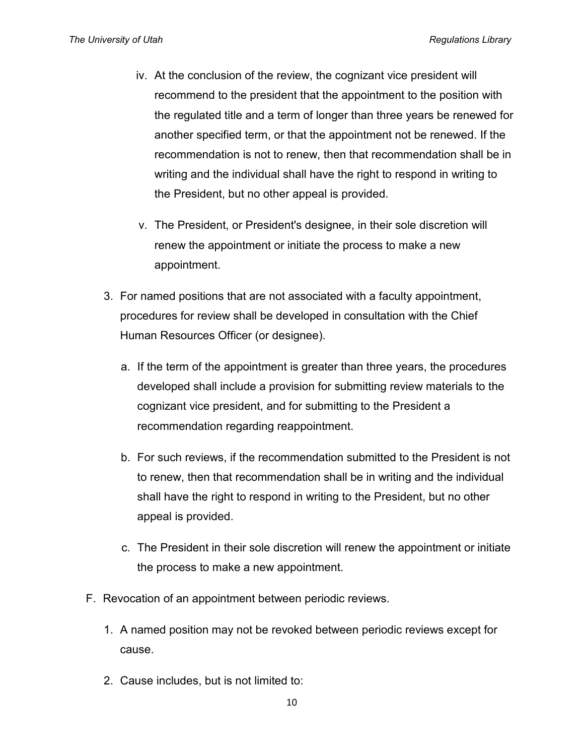- iv. At the conclusion of the review, the cognizant vice president will recommend to the president that the appointment to the position with the regulated title and a term of longer than three years be renewed for another specified term, or that the appointment not be renewed. If the recommendation is not to renew, then that recommendation shall be in writing and the individual shall have the right to respond in writing to the President, but no other appeal is provided.
- v. The President, or President's designee, in their sole discretion will renew the appointment or initiate the process to make a new appointment.
- 3. For named positions that are not associated with a faculty appointment, procedures for review shall be developed in consultation with the Chief Human Resources Officer (or designee).
	- a. If the term of the appointment is greater than three years, the procedures developed shall include a provision for submitting review materials to the cognizant vice president, and for submitting to the President a recommendation regarding reappointment.
	- b. For such reviews, if the recommendation submitted to the President is not to renew, then that recommendation shall be in writing and the individual shall have the right to respond in writing to the President, but no other appeal is provided.
	- c. The President in their sole discretion will renew the appointment or initiate the process to make a new appointment.
- F. Revocation of an appointment between periodic reviews.
	- 1. A named position may not be revoked between periodic reviews except for cause.
	- 2. Cause includes, but is not limited to: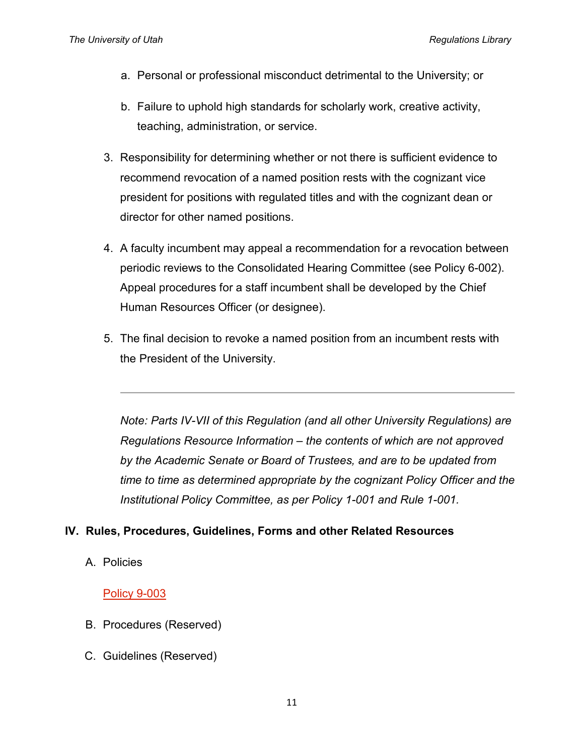- a. Personal or professional misconduct detrimental to the University; or
- b. Failure to uphold high standards for scholarly work, creative activity, teaching, administration, or service.
- 3. Responsibility for determining whether or not there is sufficient evidence to recommend revocation of a named position rests with the cognizant vice president for positions with regulated titles and with the cognizant dean or director for other named positions.
- 4. A faculty incumbent may appeal a recommendation for a revocation between periodic reviews to the Consolidated Hearing Committee (see Policy 6-002). Appeal procedures for a staff incumbent shall be developed by the Chief Human Resources Officer (or designee).
- 5. The final decision to revoke a named position from an incumbent rests with the President of the University.

*Note: Parts IV-VII of this Regulation (and all other University Regulations) are Regulations Resource Information – the contents of which are not approved by the Academic Senate or Board of Trustees, and are to be updated from time to time as determined appropriate by the cognizant Policy Officer and the Institutional Policy Committee, as per Policy 1-001 and Rule 1-001.*

## **IV. Rules, Procedures, Guidelines, Forms and other Related Resources**

A. Policies

## [Policy 9-003](http://regulations.utah.edu/community/9-003.php)

- B. Procedures (Reserved)
- C. Guidelines (Reserved)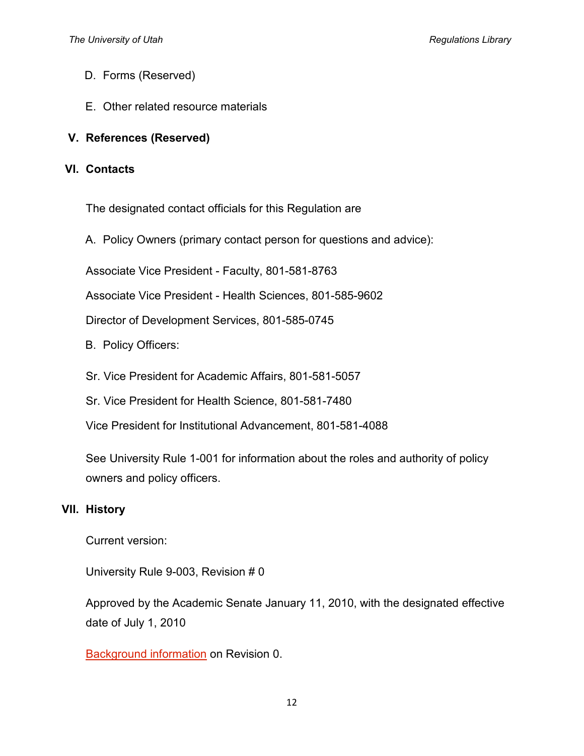- D. Forms (Reserved)
- E. Other related resource materials
- **V. References (Reserved)**

#### **VI. Contacts**

The designated contact officials for this Regulation are

A. Policy Owners (primary contact person for questions and advice):

Associate Vice President - Faculty, 801-581-8763

Associate Vice President - Health Sciences, 801-585-9602

Director of Development Services, 801-585-0745

- B. Policy Officers:
- Sr. Vice President for Academic Affairs, 801-581-5057
- Sr. Vice President for Health Science, 801-581-7480

Vice President for Institutional Advancement, 801-581-4088

See University Rule 1-001 for information about the roles and authority of policy owners and policy officers.

## **VII. History**

Current version:

University Rule 9-003, Revision # 0

Approved by the Academic Senate January 11, 2010, with the designated effective date of July 1, 2010

[Background information](http://regulations.utah.edu/community/appendices_9/9-003_legislative_history-4-13-10.pdf) on Revision 0.